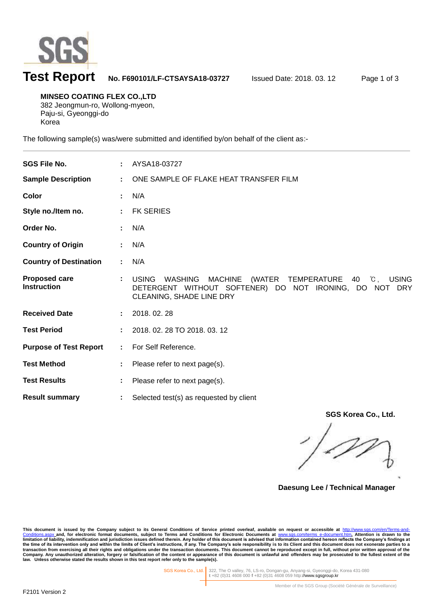

l

# **Test Report No. F690101/LF-CTSAYSA18-03727** Issued Date: 2018. 03. 12 Page 1 of 3

**MINSEO COATING FLEX CO.,LTD** 382 Jeongmun-ro, Wollong-myeon, Paju-si, Gyeonggi-do Korea

The following sample(s) was/were submitted and identified by/on behalf of the client as:-

| <b>SGS File No.</b>                        |    | AYSA18-03727                                                                                                                                                                    |
|--------------------------------------------|----|---------------------------------------------------------------------------------------------------------------------------------------------------------------------------------|
| <b>Sample Description</b>                  | ÷. | ONE SAMPLE OF FLAKE HEAT TRANSFER FILM                                                                                                                                          |
| Color                                      |    | N/A                                                                                                                                                                             |
| Style no./Item no.                         |    | <b>FK SERIES</b>                                                                                                                                                                |
| Order No.                                  |    | N/A                                                                                                                                                                             |
| <b>Country of Origin</b>                   |    | N/A                                                                                                                                                                             |
| <b>Country of Destination</b>              | ÷. | N/A                                                                                                                                                                             |
| <b>Proposed care</b><br><b>Instruction</b> |    | (WATER TEMPERATURE<br><b>USING</b><br><b>WASHING</b><br><b>MACHINE</b><br>°C, USING<br>40<br>DETERGENT WITHOUT SOFTENER) DO NOT IRONING, DO NOT DRY<br>CLEANING, SHADE LINE DRY |
| <b>Received Date</b>                       |    | 2018.02.28                                                                                                                                                                      |
| <b>Test Period</b>                         |    | 2018. 02. 28 TO 2018. 03. 12                                                                                                                                                    |
| <b>Purpose of Test Report</b>              | ÷. | For Self Reference.                                                                                                                                                             |
| <b>Test Method</b>                         |    | Please refer to next page(s).                                                                                                                                                   |
| <b>Test Results</b>                        |    | Please refer to next page(s).                                                                                                                                                   |
| <b>Result summary</b>                      |    | Selected test(s) as requested by client                                                                                                                                         |

**SGS Korea Co., Ltd.**

**Daesung Lee / Technical Manager**

This document is issued by the Company subject to its General Conditions of Service printed overleaf, available on request or accessible at http://www.sgs.com/en/Terms-and-Conditions for Service printed overleaf, available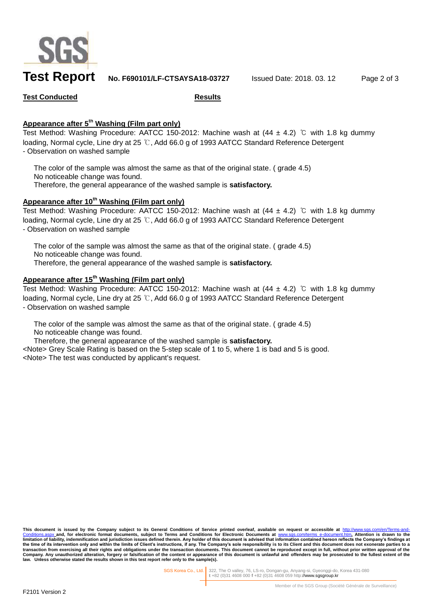

## **Test Report No. F690101/LF-CTSAYSA18-03727** Issued Date: 2018. 03. 12 Page 2 of 3

### **Test Conducted Results**

### **Appearance after 5 th Washing (Film part only)**

Test Method: Washing Procedure: AATCC 150-2012: Machine wash at  $(44 \pm 4.2)$  ℃ with 1.8 kg dummy loading, Normal cycle, Line dry at 25 ℃, Add 66.0 g of 1993 AATCC Standard Reference Detergent - Observation on washed sample

The color of the sample was almost the same as that of the original state. ( grade 4.5) No noticeable change was found. Therefore, the general appearance of the washed sample is **satisfactory.**

### **Appearance after 10th Washing (Film part only)**

Test Method: Washing Procedure: AATCC 150-2012: Machine wash at (44 ± 4.2) ℃ with 1.8 kg dummy loading, Normal cycle, Line dry at 25 ℃, Add 66.0 g of 1993 AATCC Standard Reference Detergent - Observation on washed sample

The color of the sample was almost the same as that of the original state. (grade 4.5) No noticeable change was found. Therefore, the general appearance of the washed sample is **satisfactory.**

### **Appearance after 15 th Washing (Film part only)**

Test Method: Washing Procedure: AATCC 150-2012: Machine wash at  $(44 \pm 4.2)$  °C with 1.8 kg dummy loading, Normal cycle, Line dry at 25 ℃, Add 66.0 g of 1993 AATCC Standard Reference Detergent - Observation on washed sample

The color of the sample was almost the same as that of the original state. ( grade 4.5) No noticeable change was found.

Therefore, the general appearance of the washed sample is **satisfactory.**

<Note> Grey Scale Rating is based on the 5-step scale of 1 to 5, where 1 is bad and 5 is good. <Note> The test was conducted by applicant's request.

This document is issued by the Company subject to its General Conditions of Service printed overleaf, available on request or accessible at <u>http://www.sgs.com/en/Terms-and-</u><br><u>[Conditions.aspx](http://www.sgs.com/en/Terms-and-Conditions.aspx) a</u>nd, for electronic format do **limitation of liability, indemnification and jurisdiction issues defined therein.** Any holder of this document is advised that information contained hereon reflects the Company's findings at limitation of liability, indem the time of its intervention only and within the limits of Client's instructions, if any. The Company's sole responsibility is to its Client and this document does not exonerate parties to a<br>transaction from exercising all **law. Unless otherwise stated the results shown in this test report refer only to the sample(s).**